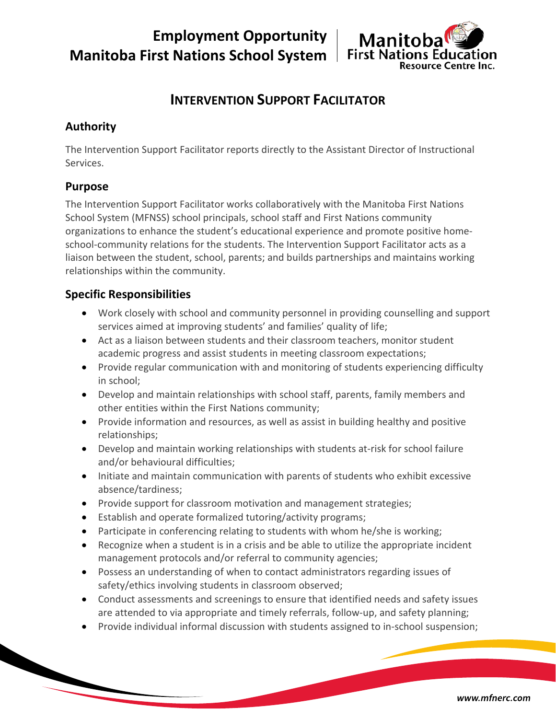**Employment Opportunity Manitoba First Nations School System**



# **INTERVENTION SUPPORT FACILITATOR**

## **Authority**

The Intervention Support Facilitator reports directly to the Assistant Director of Instructional Services.

### **Purpose**

The Intervention Support Facilitator works collaboratively with the Manitoba First Nations School System (MFNSS) school principals, school staff and First Nations community organizations to enhance the student's educational experience and promote positive homeschool-community relations for the students. The Intervention Support Facilitator acts as a liaison between the student, school, parents; and builds partnerships and maintains working relationships within the community.

## **Specific Responsibilities**

- Work closely with school and community personnel in providing counselling and support services aimed at improving students' and families' quality of life;
- Act as a liaison between students and their classroom teachers, monitor student academic progress and assist students in meeting classroom expectations;
- Provide regular communication with and monitoring of students experiencing difficulty in school;
- Develop and maintain relationships with school staff, parents, family members and other entities within the First Nations community;
- Provide information and resources, as well as assist in building healthy and positive relationships;
- Develop and maintain working relationships with students at-risk for school failure and/or behavioural difficulties;
- Initiate and maintain communication with parents of students who exhibit excessive absence/tardiness;
- Provide support for classroom motivation and management strategies;
- Establish and operate formalized tutoring/activity programs;
- Participate in conferencing relating to students with whom he/she is working;
- Recognize when a student is in a crisis and be able to utilize the appropriate incident management protocols and/or referral to community agencies;
- Possess an understanding of when to contact administrators regarding issues of safety/ethics involving students in classroom observed;
- Conduct assessments and screenings to ensure that identified needs and safety issues are attended to via appropriate and timely referrals, follow-up, and safety planning;
- Provide individual informal discussion with students assigned to in-school suspension;